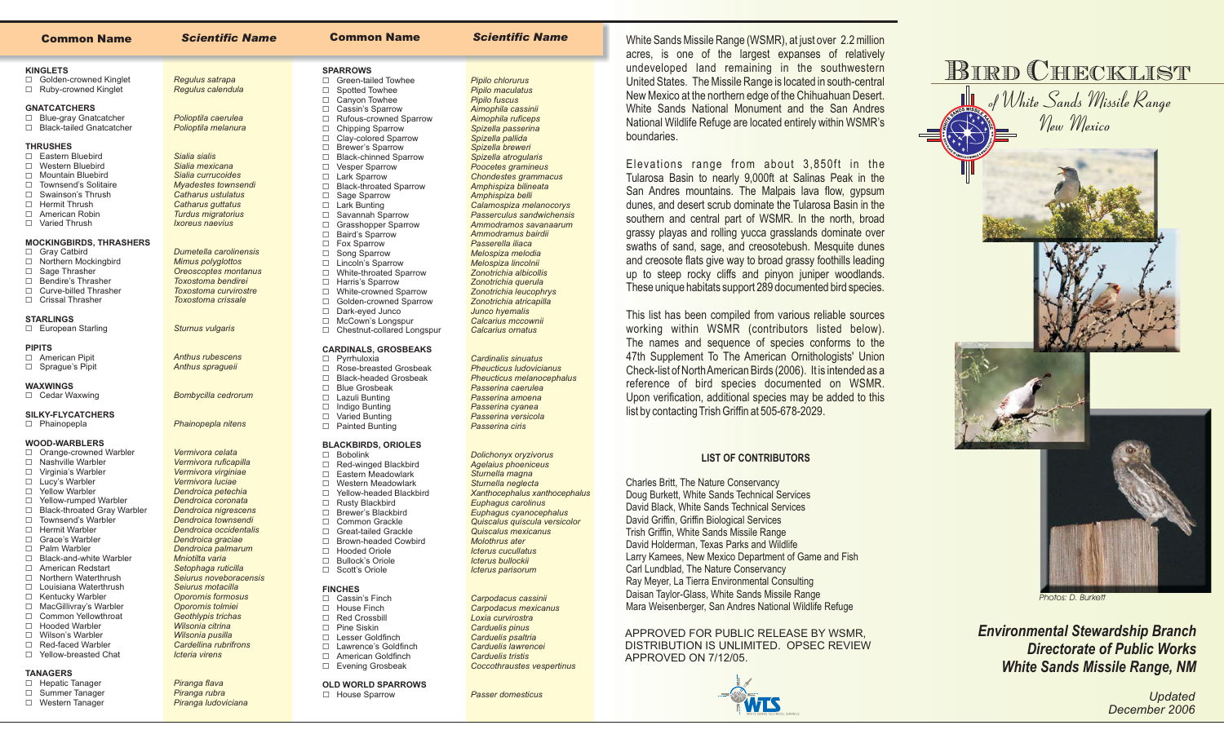| <b>Common Name</b>                                               | <b>Scientific Name</b>                     | <b>Common Name</b>                                                       | <b>Scientific Name</b>                              |
|------------------------------------------------------------------|--------------------------------------------|--------------------------------------------------------------------------|-----------------------------------------------------|
| <b>KINGLETS</b>                                                  |                                            | <b>SPARROWS</b>                                                          |                                                     |
| □ Golden-crowned Kinglet<br>□ Ruby-crowned Kinglet               | Regulus satrapa<br>Regulus calendula       | □ Green-tailed Towhee<br>Spotted Towhee<br>$\Box$                        | Pipilo chlorurus<br>Pipilo maculatus                |
| <b>GNATCATCHERS</b>                                              |                                            | Canyon Towhee<br>$\Box$<br>Cassin's Sparrow<br>$\Box$                    | <b>Pipilo fuscus</b><br>Aimophila cassinii          |
| □ Blue-gray Gnatcatcher<br><b>Black-tailed Gnatcatcher</b><br>П. | Polioptila caerulea<br>Polioptila melanura | Rufous-crowned Sparrow<br>$\Box$<br><b>Chipping Sparrow</b><br>$\Box$    | Aimophila ruficeps<br>Spizella passerina            |
| <b>THRUSHES</b>                                                  |                                            | Clay-colored Sparrow<br>$\Box$<br><b>Brewer's Sparrow</b><br>$\Box$      | Spizella pallida<br>Spizella breweri                |
| □ Eastern Bluebird                                               | Sialia sialis                              | $\Box$<br><b>Black-chinned Sparrow</b>                                   | Spizella atrogularis                                |
| □ Western Bluebird<br>□ Mountain Bluebird                        | Sialia mexicana<br>Sialia currucoides      | <b>Vesper Sparrow</b><br>□                                               | Poocetes gramineus                                  |
| □ Townsend's Solitaire                                           | Myadestes townsendi                        | □ Lark Sparrow<br><b>Black-throated Sparrow</b><br>$\Box$                | <b>Chondestes grammacus</b><br>Amphispiza bilineata |
| □ Swainson's Thrush                                              | Catharus ustulatus                         | Sage Sparrow<br>$\Box$                                                   | Amphispiza belli                                    |
| □ Hermit Thrush                                                  | Catharus guttatus                          | <b>Lark Bunting</b><br>$\Box$                                            | Calamospiza melanocorys                             |
| □ American Robin                                                 | <b>Turdus migratorius</b>                  | Savannah Sparrow<br>$\Box$                                               | Passerculus sandwichensis                           |
| □ Varied Thrush                                                  | Ixoreus naevius                            | <b>Grasshopper Sparrow</b><br>$\Box$<br><b>Baird's Sparrow</b><br>$\Box$ | Ammodramos savanaarum<br>Ammodramus bairdii         |
| <b>MOCKINGBIRDS, THRASHERS</b>                                   |                                            | □ Fox Sparrow                                                            | Passerella iliaca                                   |
| □ Gray Catbird                                                   | Dumetella carolinensis                     | Song Sparrow<br>$\Box$                                                   | Melospiza melodia                                   |
| □ Northern Mockingbird                                           | Mimus polyglottos                          | Lincoln's Sparrow<br>□                                                   | Melospiza lincolnii                                 |
| □ Sage Thrasher<br>□ Bendire's Thrasher                          | Oreoscoptes montanus<br>Toxostoma bendirei | White-throated Sparrow<br>$\Box$<br>□ Harris's Sparrow                   | Zonotrichia albicollis                              |
| □ Curve-billed Thrasher                                          | Toxostoma curvirostre                      | White-crowned Sparrow<br>$\Box$                                          | Zonotrichia querula<br>Zonotrichia leucophrys       |
| □ Crissal Thrasher                                               | <b>Toxostoma crissale</b>                  | Golden-crowned Sparrow<br>$\Box$                                         | Zonotrichia atricapilla                             |
|                                                                  |                                            | Dark-eyed Junco<br>$\Box$                                                | Junco hyemalis                                      |
| <b>STARLINGS</b><br>□ European Starling                          | <b>Sturnus vulgaris</b>                    | McCown's Longspur<br>$\Box$<br>Chestnut-collared Longspur<br>$\Box$      | Calcarius mccownii<br>Calcarius ornatus             |
| <b>PIPITS</b>                                                    |                                            |                                                                          |                                                     |
| □ American Pipit                                                 | <b>Anthus rubescens</b>                    | <b>CARDINALS, GROSBEAKS</b><br>$\Box$ Pyrrhuloxia                        | <b>Cardinalis sinuatus</b>                          |
| $\Box$ Sprague's Pipit                                           | Anthus spragueii                           | Rose-breasted Grosbeak<br>$\Box$                                         | <b>Pheucticus Iudovicianus</b>                      |
|                                                                  |                                            | <b>Black-headed Grosbeak</b><br>$\Box$                                   | <b>Pheucticus melanocephalus</b>                    |
| <b>WAXWINGS</b>                                                  |                                            | <b>Blue Grosbeak</b><br>$\Box$                                           | Passerina caerulea                                  |
| $\Box$ Cedar Waxwing                                             | Bombycilla cedrorum                        | Lazuli Bunting<br>□<br>Indigo Bunting<br>$\Box$                          | Passerina amoena                                    |
| <b>SILKY-FLYCATCHERS</b>                                         |                                            | $\Box$<br>Varied Bunting                                                 | Passerina cyanea<br>Passerina versicola             |
| □ Phainopepla                                                    | Phainopepla nitens                         | $\Box$<br><b>Painted Bunting</b>                                         | Passerina ciris                                     |
| <b>WOOD-WARBLERS</b>                                             |                                            | <b>BLACKBIRDS, ORIOLES</b>                                               |                                                     |
| Orange-crowned Warbler<br>$\Box$                                 | Vermivora celata                           | $\square$ Bobolink                                                       | <b>Dolichonyx oryzivorus</b>                        |
| □ Nashville Warbler                                              | Vermivora ruficapilla                      | □ Red-winged Blackbird                                                   | <b>Agelaius phoeniceus</b>                          |
| $\Box$ Virginia's Warbler<br>□ Lucy's Warbler                    | Vermivora virginiae<br>Vermivora luciae    | $\Box$<br>Eastern Meadowlark                                             | Sturnella magna                                     |
| □ Yellow Warbler                                                 | Dendroica petechia                         | Western Meadowlark<br>$\Box$<br>$\Box$<br>Yellow-headed Blackbird        | Sturnella neglecta<br>Xanthocephalus xanthocephalus |
| □ Yellow-rumped Warbler                                          | Dendroica coronata                         | □ Rusty Blackbird                                                        | Euphagus carolinus                                  |
| □ Black-throated Gray Warbler                                    | Dendroica nigrescens                       | □ Brewer's Blackbird                                                     | Euphagus cyanocephalus                              |
| □ Townsend's Warbler                                             | Dendroica townsendi                        | □ Common Grackle                                                         | Quiscalus quiscula versicolor                       |
| □ Hermit Warbler<br>$\Box$<br>Grace's Warbler                    | Dendroica occidentalis                     | $\Box$<br><b>Great-tailed Grackle</b>                                    | Quiscalus mexicanus                                 |
| Palm Warbler<br>□                                                | Dendroica graciae<br>Dendroica palmarum    | $\Box$<br><b>Brown-headed Cowbird</b><br>$\Box$<br><b>Hooded Oriole</b>  | Molothrus ater<br><b>Icterus cucullatus</b>         |
| П<br>Black-and-white Warbler                                     | Mniotilta varia                            | п.<br><b>Bullock's Oriole</b>                                            | Ictorus bullockii                                   |

- □ Black-and-white Warbler □ American Redstart
- D Northern Waterthrush
- □ Louisiana Waterthrush
- G Kentucky Warbler
- □ MacGillivray's Warbler
- □ Common Yellowthroat □ Hooded Warbler
- □ Wilson's Warbler
- □ Red-faced Warbler
- □ Yellow-breasted Chat

## **TANAGERS**

- □ Hepatic Tanager □ Summer Tanager
- □ Western Tanager
- *Cardellina rubrifronsIcteria virensPiranga flava Piranga rubra*

*Setophaga ruticilla Seiurus noveboracensisSeiurus motacilla Oporornis formosus Oporornis tolmiei Geothlypis trichas Wilsonia citrinaWilsonia pusilla*

*Piranga ludoviciana*

**FINCHES**Cassin's Finch □ Bullock's Oriole □ Scott's Oriole **House Finch** □ Red Crossbill D Pine Siskin □ Lesser Goldfinch

*Icterus parisorum*

*Carpodacus cassinii Carpodacus mexicanus Loxia curvirostra Carduelis pinus Carduelis psaltria Carduelis lawrencei Carduelis tristis*

*Passer domesticus*

*Coccothraustes vespertinus*

- □ Lawrence's Goldfinch
- □ American Goldfinch □ Evening Grosbeak

## **OLD WORLD SPARROWS**

□ House Sparrow

White Sands Missile Range (WSMR), at just over 2.2 million acres, is one of the largest expanses of relatively undeveloped land remaining in the southwestern United States. The Missile Range is located in south-central New Mexico at the northern edge of the Chihuahuan Desert. White Sands National Monument and the San Andres National Wildlife Refuge are located entirely within WSMR's boundaries.

Elevations range from about 3,850ft in the Tularosa Basin to nearly 9,000ft at Salinas Peak in the San Andres mountains. The Malpais lava flow, gypsum dunes, and desert scrub dominate the Tularosa Basin in the southern and central part of WSMR. In the north, broad grassy playas and rolling yucca grasslands dominate over swaths of sand, sage, and creosotebush. Mesquite dunes and creosote flats give way to broad grassy foothills leading up to steep rocky cliffs and pinyon juniper woodlands. These unique habitats support 289 documented bird species.

This list has been compiled from various reliable sources working within WSMR (contributors listed below). The names and sequence of species conforms to the 47th Supplement To The American Ornithologists' Union Check-list of NorthAmerican Birds (2006). It is intended as <sup>a</sup> reference of bird species documented on WSMR. Upon verification, additional species may be added to this list by contacting Trish Griffin at 505-678-2029.

## **LIST OF CONTRIBUTORS**

Charles Britt, The Nature Conservancy Doug Burkett, White Sands Technical Services David Black, White Sands Technical Services David Holderman, Texas Parks and Wildlife Larry Kamees, New Mexico Department of Game and Fish Carl Lundblad, The Nature Conservancy Ray Meyer, La Tierra Environmental Consulting Daisan Taylor-Glass, White Sands Missile Range Mara Weisenberger, San Andres National Wildlife Refuge David Griffin, Griffin Biological Services Trish Griffin, White Sands Missile Range

APPROVED FOR PUBLIC RELEASE BY WSMR, DISTRIBUTION IS UNLIMITED. OPSEC REVIEWAPPROVED ON 7/12/05.





*Environmental Stewardship Branch White Sands Missile Range, NM Directorate of Public Works*

> *Updated December 2006*